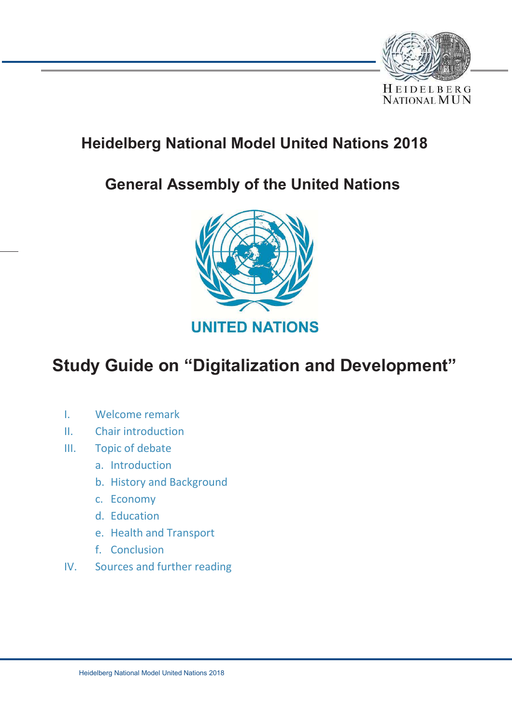

# **Heidelberg National Model United Nations 2018**

# **General Assembly of the United Nations**



# **Study Guide on "Digitalization and Development"**

- I. Welcome remark
- II. Chair introduction
- III. Topic of debate
	- a. Introduction
	- b. History and Background
	- c. Economy
	- d. Education
	- e. Health and Transport
	- f. Conclusion
- IV. Sources and further reading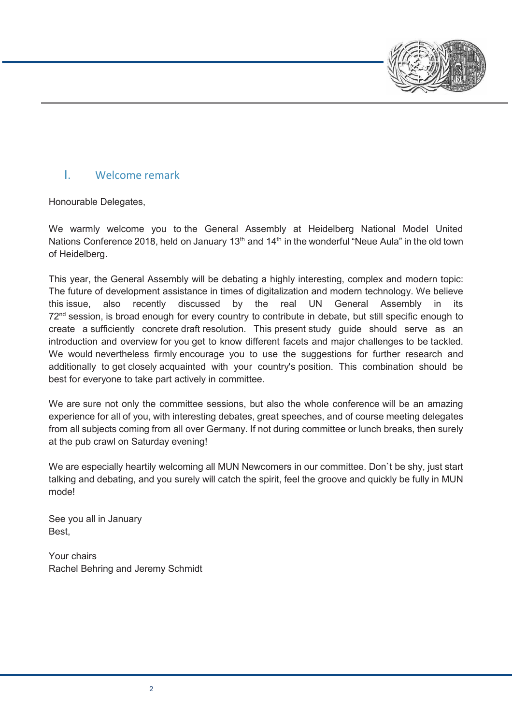

## I. Welcome remark

Honourable Delegates,

We warmly welcome you to the General Assembly at Heidelberg National Model United Nations Conference 2018, held on January 13<sup>th</sup> and 14<sup>th</sup> in the wonderful "Neue Aula" in the old town of Heidelberg.

This year, the General Assembly will be debating a highly interesting, complex and modern topic: The future of development assistance in times of digitalization and modern technology. We believe this issue, also recently discussed by the real UN General Assembly in its  $72<sup>nd</sup>$  session, is broad enough for every country to contribute in debate, but still specific enough to create a sufficiently concrete draft resolution. This present study guide should serve as an introduction and overview for you get to know different facets and major challenges to be tackled. We would nevertheless firmly encourage you to use the suggestions for further research and additionally to get closely acquainted with your country's position. This combination should be best for everyone to take part actively in committee.

We are sure not only the committee sessions, but also the whole conference will be an amazing experience for all of you, with interesting debates, great speeches, and of course meeting delegates from all subjects coming from all over Germany. If not during committee or lunch breaks, then surely at the pub crawl on Saturday evening!

We are especially heartily welcoming all MUN Newcomers in our committee. Don`t be shy, just start talking and debating, and you surely will catch the spirit, feel the groove and quickly be fully in MUN mode!

See you all in January Best,

Your chairs Rachel Behring and Jeremy Schmidt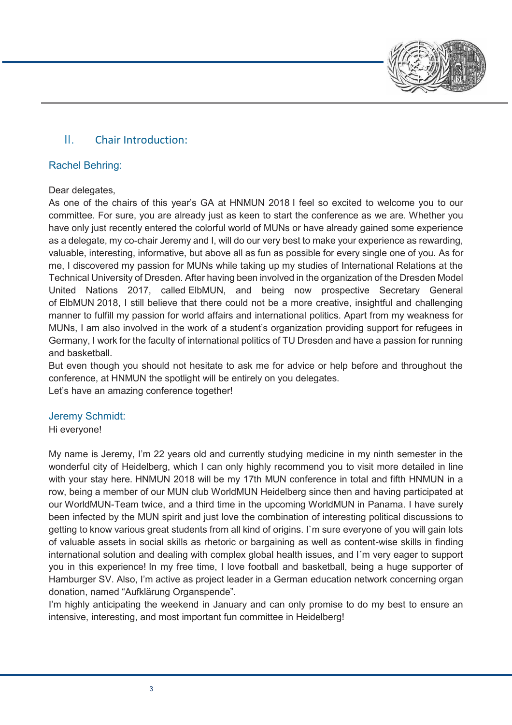

## II. Chair Introduction:

## Rachel Behring:

### Dear delegates,

As one of the chairs of this year's GA at HNMUN 2018 I feel so excited to welcome you to our committee. For sure, you are already just as keen to start the conference as we are. Whether you have only just recently entered the colorful world of MUNs or have already gained some experience as a delegate, my co-chair Jeremy and I, will do our very best to make your experience as rewarding, valuable, interesting, informative, but above all as fun as possible for every single one of you. As for me, I discovered my passion for MUNs while taking up my studies of International Relations at the Technical University of Dresden. After having been involved in the organization of the Dresden Model United Nations 2017, called ElbMUN, and being now prospective Secretary General of ElbMUN 2018, I still believe that there could not be a more creative, insightful and challenging manner to fulfill my passion for world affairs and international politics. Apart from my weakness for MUNs, I am also involved in the work of a student's organization providing support for refugees in Germany, I work for the faculty of international politics of TU Dresden and have a passion for running and basketball.

But even though you should not hesitate to ask me for advice or help before and throughout the conference, at HNMUN the spotlight will be entirely on you delegates. Let's have an amazing conference together!

## Jeremy Schmidt:

Hi everyone!

My name is Jeremy, I'm 22 years old and currently studying medicine in my ninth semester in the wonderful city of Heidelberg, which I can only highly recommend you to visit more detailed in line with your stay here. HNMUN 2018 will be my 17th MUN conference in total and fifth HNMUN in a row, being a member of our MUN club WorldMUN Heidelberg since then and having participated at our WorldMUN-Team twice, and a third time in the upcoming WorldMUN in Panama. I have surely been infected by the MUN spirit and just love the combination of interesting political discussions to getting to know various great students from all kind of origins. I`m sure everyone of you will gain lots of valuable assets in social skills as rhetoric or bargaining as well as content-wise skills in finding international solution and dealing with complex global health issues, and I´m very eager to support you in this experience! In my free time, I love football and basketball, being a huge supporter of Hamburger SV. Also, I'm active as project leader in a German education network concerning organ donation, named "Aufklärung Organspende".

I'm highly anticipating the weekend in January and can only promise to do my best to ensure an intensive, interesting, and most important fun committee in Heidelberg!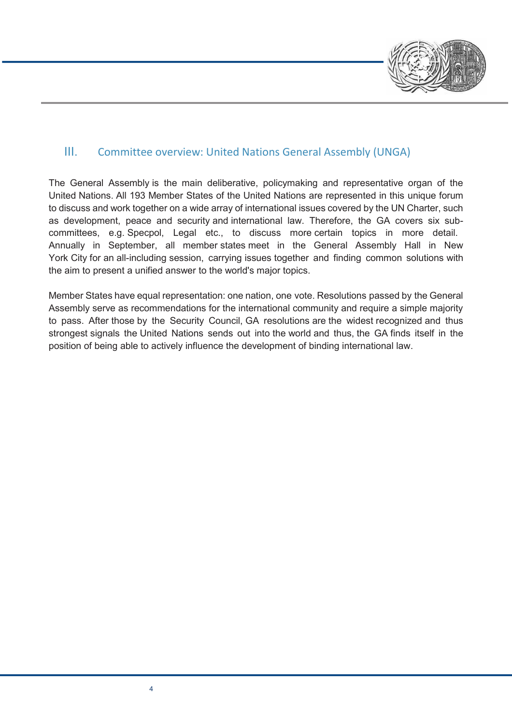

## III. Committee overview: United Nations General Assembly (UNGA)

The General Assembly is the main deliberative, policymaking and representative organ of the United Nations. All 193 Member States of the United Nations are represented in this unique forum to discuss and work together on a wide array of international issues covered by the UN Charter, such as development, peace and security and international law. Therefore, the GA covers six subcommittees, e.g. Specpol, Legal etc., to discuss more certain topics in more detail. Annually in September, all member states meet in the General Assembly Hall in New York City for an all-including session, carrying issues together and finding common solutions with the aim to present a unified answer to the world's major topics.

Member States have equal representation: one nation, one vote. Resolutions passed by the General Assembly serve as recommendations for the international community and require a simple majority to pass. After those by the Security Council, GA resolutions are the widest recognized and thus strongest signals the United Nations sends out into the world and thus, the GA finds itself in the position of being able to actively influence the development of binding international law.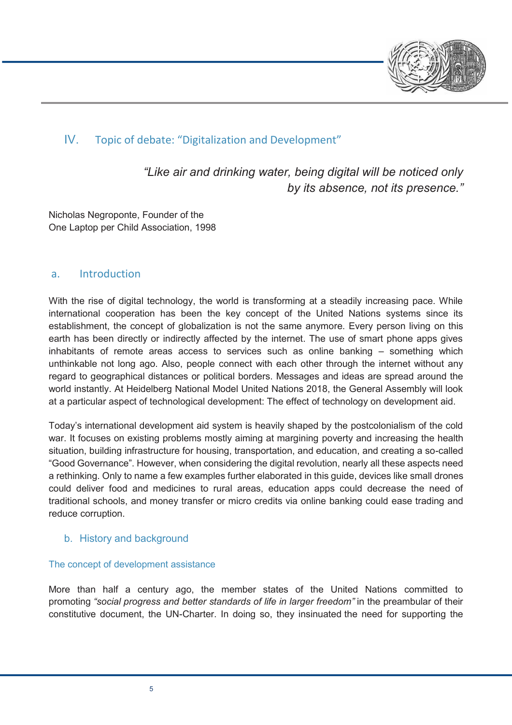

## IV. Topic of debate: "Digitalization and Development"

*"Like air and drinking water, being digital will be noticed only by its absence, not its presence."*

Nicholas Negroponte, Founder of the One Laptop per Child Association, 1998

## a. Introduction

With the rise of digital technology, the world is transforming at a steadily increasing pace. While international cooperation has been the key concept of the United Nations systems since its establishment, the concept of globalization is not the same anymore. Every person living on this earth has been directly or indirectly affected by the internet. The use of smart phone apps gives inhabitants of remote areas access to services such as online banking – something which unthinkable not long ago. Also, people connect with each other through the internet without any regard to geographical distances or political borders. Messages and ideas are spread around the world instantly. At Heidelberg National Model United Nations 2018, the General Assembly will look at a particular aspect of technological development: The effect of technology on development aid.

Today's international development aid system is heavily shaped by the postcolonialism of the cold war. It focuses on existing problems mostly aiming at margining poverty and increasing the health situation, building infrastructure for housing, transportation, and education, and creating a so-called "Good Governance". However, when considering the digital revolution, nearly all these aspects need a rethinking. Only to name a few examples further elaborated in this guide, devices like small drones could deliver food and medicines to rural areas, education apps could decrease the need of traditional schools, and money transfer or micro credits via online banking could ease trading and reduce corruption.

## b. History and background

#### The concept of development assistance

More than half a century ago, the member states of the United Nations committed to promoting *"social progress and better standards of life in larger freedom"* in the preambular of their constitutive document, the UN-Charter. In doing so, they insinuated the need for supporting the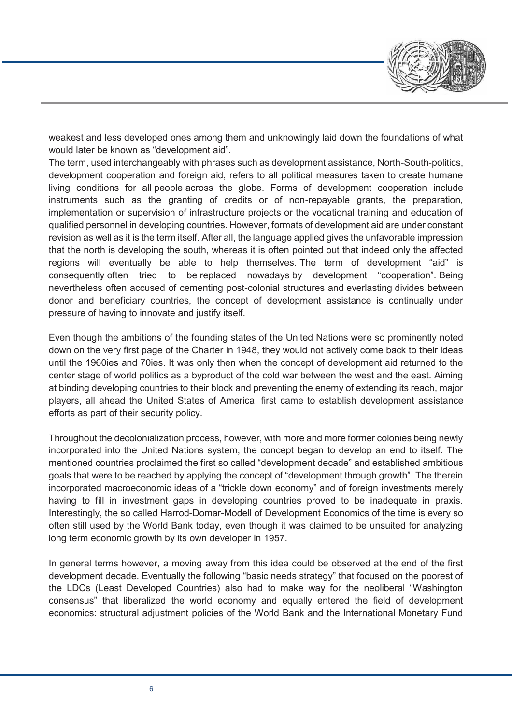

weakest and less developed ones among them and unknowingly laid down the foundations of what would later be known as "development aid".

The term, used interchangeably with phrases such as development assistance, North-South-politics, development cooperation and foreign aid, refers to all political measures taken to create humane living conditions for all people across the globe. Forms of development cooperation include instruments such as the granting of credits or of non-repayable grants, the preparation, implementation or supervision of infrastructure projects or the vocational training and education of qualified personnel in developing countries. However, formats of development aid are under constant revision as well as it is the term itself. After all, the language applied gives the unfavorable impression that the north is developing the south, whereas it is often pointed out that indeed only the affected regions will eventually be able to help themselves. The term of development "aid" is consequently often tried to be replaced nowadays by development "cooperation". Being nevertheless often accused of cementing post-colonial structures and everlasting divides between donor and beneficiary countries, the concept of development assistance is continually under pressure of having to innovate and justify itself.

Even though the ambitions of the founding states of the United Nations were so prominently noted down on the very first page of the Charter in 1948, they would not actively come back to their ideas until the 1960ies and 70ies. It was only then when the concept of development aid returned to the center stage of world politics as a byproduct of the cold war between the west and the east. Aiming at binding developing countries to their block and preventing the enemy of extending its reach, major players, all ahead the United States of America, first came to establish development assistance efforts as part of their security policy.

Throughout the decolonialization process, however, with more and more former colonies being newly incorporated into the United Nations system, the concept began to develop an end to itself. The mentioned countries proclaimed the first so called "development decade" and established ambitious goals that were to be reached by applying the concept of "development through growth". The therein incorporated macroeconomic ideas of a "trickle down economy" and of foreign investments merely having to fill in investment gaps in developing countries proved to be inadequate in praxis. Interestingly, the so called Harrod-Domar-Modell of Development Economics of the time is every so often still used by the World Bank today, even though it was claimed to be unsuited for analyzing long term economic growth by its own developer in 1957.

In general terms however, a moving away from this idea could be observed at the end of the first development decade. Eventually the following "basic needs strategy" that focused on the poorest of the LDCs (Least Developed Countries) also had to make way for the neoliberal "Washington consensus" that liberalized the world economy and equally entered the field of development economics: structural adjustment policies of the World Bank and the International Monetary Fund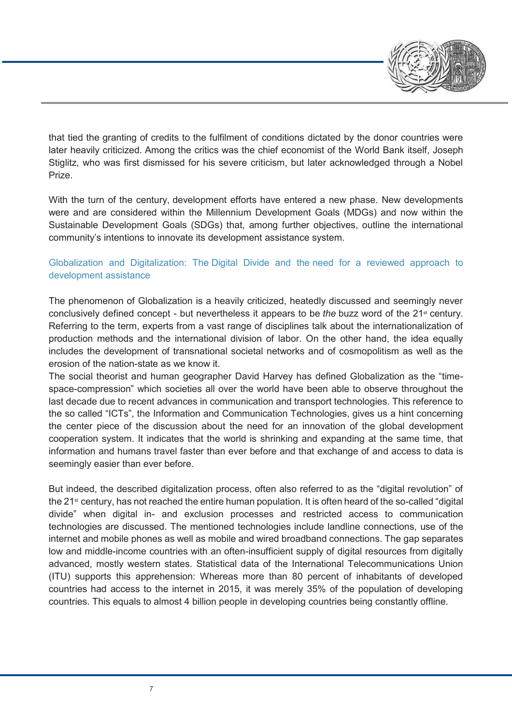

that tied the granting of credits to the fulfilment of conditions dictated by the donor countries were later heavily criticized. Among the critics was the chief economist of the World Bank itself, Joseph Stiglitz, who was first dismissed for his severe criticism, but later acknowledged through a Nobel Prize.

With the turn of the century, development efforts have entered a new phase. New developments were and are considered within the Millennium Development Goals (MDGs) and now within the Sustainable Development Goals (SDGs) that, among further objectives, outline the international community's intentions to innovate its development assistance system.

## Globalization and Digitalization: The Digital Divide and the need for a reviewed approach to development assistance

The phenomenon of Globalization is a heavily criticized, heatedly discussed and seemingly never conclusively defined concept - but nevertheless it appears to be *the* buzz word of the 21st century. Referring to the term, experts from a vast range of disciplines talk about the internationalization of production methods and the international division of labor. On the other hand, the idea equally includes the development of transnational societal networks and of cosmopolitism as well as the erosion of the nation-state as we know it.

The social theorist and human geographer David Harvey has defined Globalization as the "timespace-compression" which societies all over the world have been able to observe throughout the last decade due to recent advances in communication and transport technologies. This reference to the so called "ICTs", the Information and Communication Technologies, gives us a hint concerning the center piece of the discussion about the need for an innovation of the global development cooperation system. It indicates that the world is shrinking and expanding at the same time, that information and humans travel faster than ever before and that exchange of and access to data is seemingly easier than ever before.

But indeed, the described digitalization process, often also referred to as the "digital revolution" of the 21st century, has not reached the entire human population. It is often heard of the so-called "digital divide" when digital in- and exclusion processes and restricted access to communication technologies are discussed. The mentioned technologies include landline connections, use of the internet and mobile phones as well as mobile and wired broadband connections. The gap separates low and middle-income countries with an often-insufficient supply of digital resources from digitally advanced, mostly western states. Statistical data of the International Telecommunications Union (ITU) supports this apprehension: Whereas more than 80 percent of inhabitants of developed countries had access to the internet in 2015, it was merely 35% of the population of developing countries. This equals to almost 4 billion people in developing countries being constantly offline.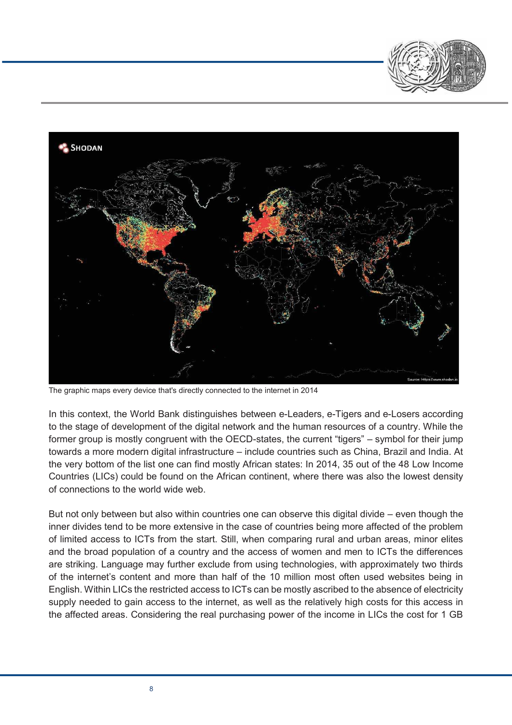



The graphic maps every device that's directly connected to the internet in 2014

In this context, the World Bank distinguishes between e-Leaders, e-Tigers and e-Losers according to the stage of development of the digital network and the human resources of a country. While the former group is mostly congruent with the OECD-states, the current "tigers" – symbol for their jump towards a more modern digital infrastructure – include countries such as China, Brazil and India. At the very bottom of the list one can find mostly African states: In 2014, 35 out of the 48 Low Income Countries (LICs) could be found on the African continent, where there was also the lowest density of connections to the world wide web.

But not only between but also within countries one can observe this digital divide – even though the inner divides tend to be more extensive in the case of countries being more affected of the problem of limited access to ICTs from the start. Still, when comparing rural and urban areas, minor elites and the broad population of a country and the access of women and men to ICTs the differences are striking. Language may further exclude from using technologies, with approximately two thirds of the internet's content and more than half of the 10 million most often used websites being in English. Within LICs the restricted access to ICTs can be mostly ascribed to the absence of electricity supply needed to gain access to the internet, as well as the relatively high costs for this access in the affected areas. Considering the real purchasing power of the income in LICs the cost for 1 GB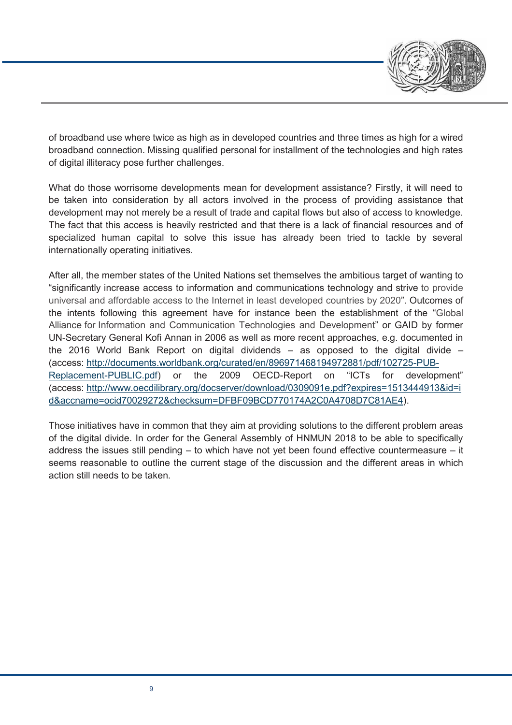

of broadband use where twice as high as in developed countries and three times as high for a wired broadband connection. Missing qualified personal for installment of the technologies and high rates of digital illiteracy pose further challenges.

What do those worrisome developments mean for development assistance? Firstly, it will need to be taken into consideration by all actors involved in the process of providing assistance that development may not merely be a result of trade and capital flows but also of access to knowledge. The fact that this access is heavily restricted and that there is a lack of financial resources and of specialized human capital to solve this issue has already been tried to tackle by several internationally operating initiatives.

After all, the member states of the United Nations set themselves the ambitious target of wanting to "significantly increase access to information and communications technology and strive to provide universal and affordable access to the Internet in least developed countries by 2020". Outcomes of the intents following this agreement have for instance been the establishment of the "Global Alliance for Information and Communication Technologies and Development" or GAID by former UN-Secretary General Kofi Annan in 2006 as well as more recent approaches, e.g. documented in the 2016 World Bank Report on digital dividends – as opposed to the digital divide – (access: http://documents.worldbank.org/curated/en/896971468194972881/pdf/102725-PUB-Replacement-PUBLIC.pdf) or the 2009 OECD-Report on "ICTs for development" (access: http://www.oecdilibrary.org/docserver/download/0309091e.pdf?expires=1513444913&id=i d&accname=ocid70029272&checksum=DFBF09BCD770174A2C0A4708D7C81AE4).

Those initiatives have in common that they aim at providing solutions to the different problem areas of the digital divide. In order for the General Assembly of HNMUN 2018 to be able to specifically address the issues still pending – to which have not yet been found effective countermeasure – it seems reasonable to outline the current stage of the discussion and the different areas in which action still needs to be taken.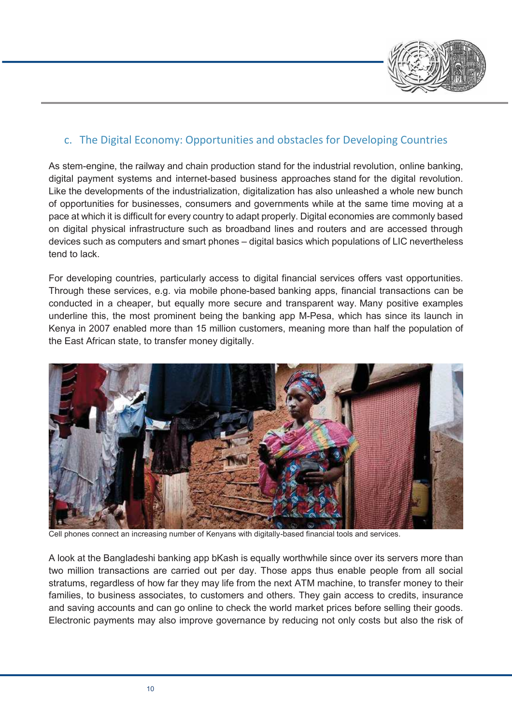

## c. The Digital Economy: Opportunities and obstacles for Developing Countries

As stem-engine, the railway and chain production stand for the industrial revolution, online banking, digital payment systems and internet-based business approaches stand for the digital revolution. Like the developments of the industrialization, digitalization has also unleashed a whole new bunch of opportunities for businesses, consumers and governments while at the same time moving at a pace at which it is difficult for every country to adapt properly. Digital economies are commonly based on digital physical infrastructure such as broadband lines and routers and are accessed through devices such as computers and smart phones – digital basics which populations of LIC nevertheless tend to lack.

For developing countries, particularly access to digital financial services offers vast opportunities. Through these services, e.g. via mobile phone-based banking apps, financial transactions can be conducted in a cheaper, but equally more secure and transparent way. Many positive examples underline this, the most prominent being the banking app M-Pesa, which has since its launch in Kenya in 2007 enabled more than 15 million customers, meaning more than half the population of the East African state, to transfer money digitally.



Cell phones connect an increasing number of Kenyans with digitally-based financial tools and services.

A look at the Bangladeshi banking app bKash is equally worthwhile since over its servers more than two million transactions are carried out per day. Those apps thus enable people from all social stratums, regardless of how far they may life from the next ATM machine, to transfer money to their families, to business associates, to customers and others. They gain access to credits, insurance and saving accounts and can go online to check the world market prices before selling their goods. Electronic payments may also improve governance by reducing not only costs but also the risk of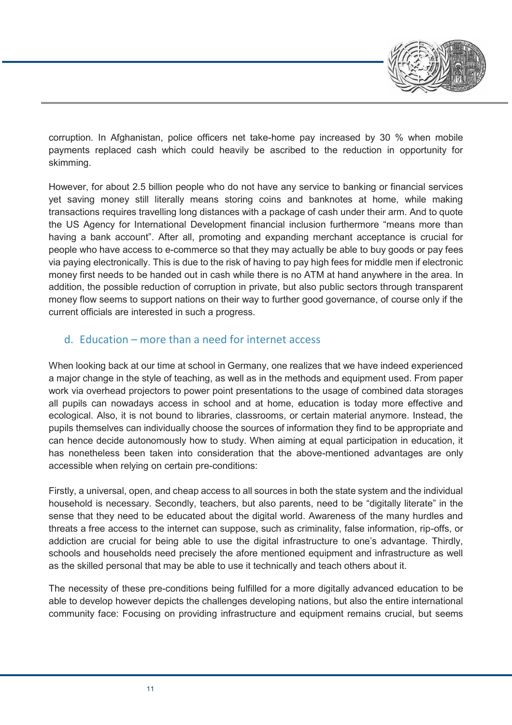

corruption. In Afghanistan, police officers net take-home pay increased by 30 % when mobile payments replaced cash which could heavily be ascribed to the reduction in opportunity for skimming.

However, for about 2.5 billion people who do not have any service to banking or financial services yet saving money still literally means storing coins and banknotes at home, while making transactions requires travelling long distances with a package of cash under their arm. And to quote the US Agency for International Development financial inclusion furthermore "means more than having a bank account". After all, promoting and expanding merchant acceptance is crucial for people who have access to e-commerce so that they may actually be able to buy goods or pay fees via paying electronically. This is due to the risk of having to pay high fees for middle men if electronic money first needs to be handed out in cash while there is no ATM at hand anywhere in the area. In addition, the possible reduction of corruption in private, but also public sectors through transparent money flow seems to support nations on their way to further good governance, of course only if the current officials are interested in such a progress.

## d. Education – more than a need for internet access

When looking back at our time at school in Germany, one realizes that we have indeed experienced a major change in the style of teaching, as well as in the methods and equipment used. From paper work via overhead projectors to power point presentations to the usage of combined data storages all pupils can nowadays access in school and at home, education is today more effective and ecological. Also, it is not bound to libraries, classrooms, or certain material anymore. Instead, the pupils themselves can individually choose the sources of information they find to be appropriate and can hence decide autonomously how to study. When aiming at equal participation in education, it has nonetheless been taken into consideration that the above-mentioned advantages are only accessible when relying on certain pre-conditions:

Firstly, a universal, open, and cheap access to all sources in both the state system and the individual household is necessary. Secondly, teachers, but also parents, need to be "digitally literate" in the sense that they need to be educated about the digital world. Awareness of the many hurdles and threats a free access to the internet can suppose, such as criminality, false information, rip-offs, or addiction are crucial for being able to use the digital infrastructure to one's advantage. Thirdly, schools and households need precisely the afore mentioned equipment and infrastructure as well as the skilled personal that may be able to use it technically and teach others about it.

The necessity of these pre-conditions being fulfilled for a more digitally advanced education to be able to develop however depicts the challenges developing nations, but also the entire international community face: Focusing on providing infrastructure and equipment remains crucial, but seems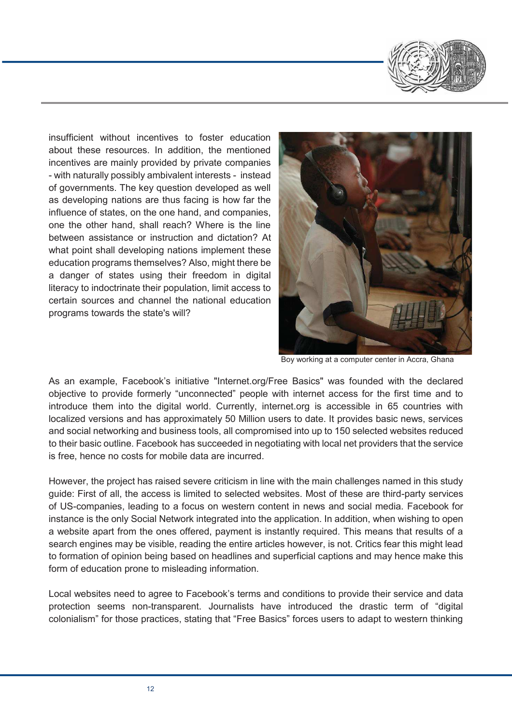

insufficient without incentives to foster education about these resources. In addition, the mentioned incentives are mainly provided by private companies - with naturally possibly ambivalent interests - instead of governments. The key question developed as well as developing nations are thus facing is how far the influence of states, on the one hand, and companies, one the other hand, shall reach? Where is the line between assistance or instruction and dictation? At what point shall developing nations implement these education programs themselves? Also, might there be a danger of states using their freedom in digital literacy to indoctrinate their population, limit access to certain sources and channel the national education programs towards the state's will?



Boy working at a computer center in Accra, Ghana

As an example, Facebook's initiative "Internet.org/Free Basics" was founded with the declared objective to provide formerly "unconnected" people with internet access for the first time and to introduce them into the digital world. Currently, internet.org is accessible in 65 countries with localized versions and has approximately 50 Million users to date. It provides basic news, services and social networking and business tools, all compromised into up to 150 selected websites reduced to their basic outline. Facebook has succeeded in negotiating with local net providers that the service is free, hence no costs for mobile data are incurred.

However, the project has raised severe criticism in line with the main challenges named in this study guide: First of all, the access is limited to selected websites. Most of these are third-party services of US-companies, leading to a focus on western content in news and social media. Facebook for instance is the only Social Network integrated into the application. In addition, when wishing to open a website apart from the ones offered, payment is instantly required. This means that results of a search engines may be visible, reading the entire articles however, is not. Critics fear this might lead to formation of opinion being based on headlines and superficial captions and may hence make this form of education prone to misleading information.

Local websites need to agree to Facebook's terms and conditions to provide their service and data protection seems non-transparent. Journalists have introduced the drastic term of "digital colonialism" for those practices, stating that "Free Basics" forces users to adapt to western thinking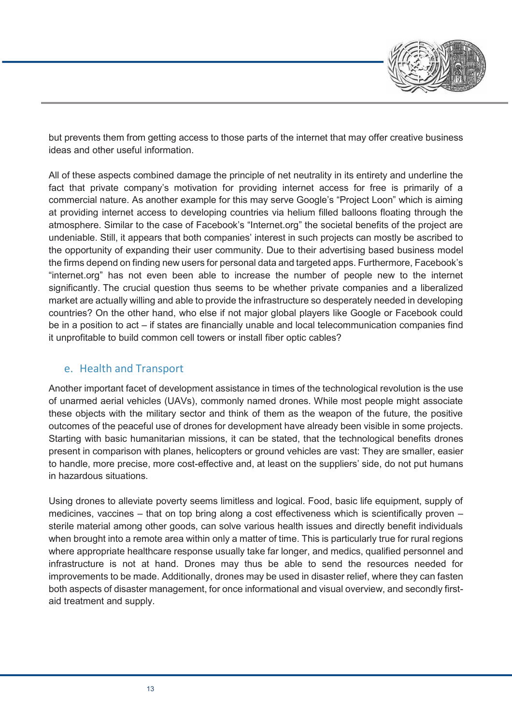

but prevents them from getting access to those parts of the internet that may offer creative business ideas and other useful information.

All of these aspects combined damage the principle of net neutrality in its entirety and underline the fact that private company's motivation for providing internet access for free is primarily of a commercial nature. As another example for this may serve Google's "Project Loon" which is aiming at providing internet access to developing countries via helium filled balloons floating through the atmosphere. Similar to the case of Facebook's "Internet.org" the societal benefits of the project are undeniable. Still, it appears that both companies' interest in such projects can mostly be ascribed to the opportunity of expanding their user community. Due to their advertising based business model the firms depend on finding new users for personal data and targeted apps. Furthermore, Facebook's "internet.org" has not even been able to increase the number of people new to the internet significantly. The crucial question thus seems to be whether private companies and a liberalized market are actually willing and able to provide the infrastructure so desperately needed in developing countries? On the other hand, who else if not major global players like Google or Facebook could be in a position to act – if states are financially unable and local telecommunication companies find it unprofitable to build common cell towers or install fiber optic cables?

## e. Health and Transport

Another important facet of development assistance in times of the technological revolution is the use of unarmed aerial vehicles (UAVs), commonly named drones. While most people might associate these objects with the military sector and think of them as the weapon of the future, the positive outcomes of the peaceful use of drones for development have already been visible in some projects. Starting with basic humanitarian missions, it can be stated, that the technological benefits drones present in comparison with planes, helicopters or ground vehicles are vast: They are smaller, easier to handle, more precise, more cost-effective and, at least on the suppliers' side, do not put humans in hazardous situations.

Using drones to alleviate poverty seems limitless and logical. Food, basic life equipment, supply of medicines, vaccines – that on top bring along a cost effectiveness which is scientifically proven – sterile material among other goods, can solve various health issues and directly benefit individuals when brought into a remote area within only a matter of time. This is particularly true for rural regions where appropriate healthcare response usually take far longer, and medics, qualified personnel and infrastructure is not at hand. Drones may thus be able to send the resources needed for improvements to be made. Additionally, drones may be used in disaster relief, where they can fasten both aspects of disaster management, for once informational and visual overview, and secondly firstaid treatment and supply.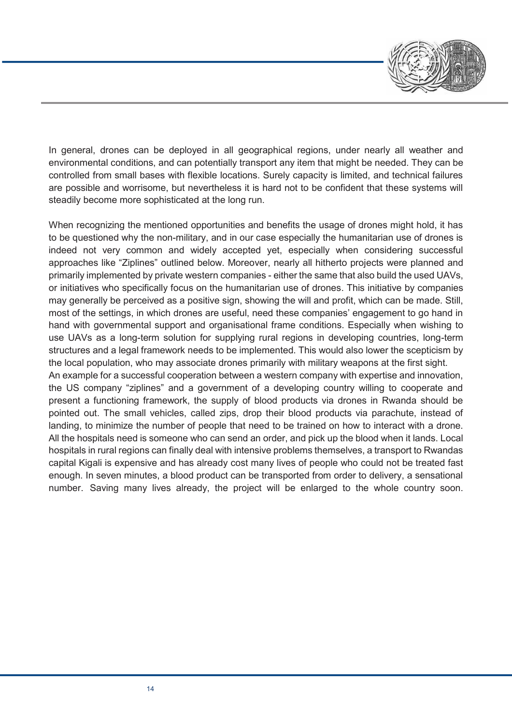

In general, drones can be deployed in all geographical regions, under nearly all weather and environmental conditions, and can potentially transport any item that might be needed. They can be controlled from small bases with flexible locations. Surely capacity is limited, and technical failures are possible and worrisome, but nevertheless it is hard not to be confident that these systems will steadily become more sophisticated at the long run.

When recognizing the mentioned opportunities and benefits the usage of drones might hold, it has to be questioned why the non-military, and in our case especially the humanitarian use of drones is indeed not very common and widely accepted yet, especially when considering successful approaches like "Ziplines" outlined below. Moreover, nearly all hitherto projects were planned and primarily implemented by private western companies - either the same that also build the used UAVs, or initiatives who specifically focus on the humanitarian use of drones. This initiative by companies may generally be perceived as a positive sign, showing the will and profit, which can be made. Still, most of the settings, in which drones are useful, need these companies' engagement to go hand in hand with governmental support and organisational frame conditions. Especially when wishing to use UAVs as a long-term solution for supplying rural regions in developing countries, long-term structures and a legal framework needs to be implemented. This would also lower the scepticism by the local population, who may associate drones primarily with military weapons at the first sight. An example for a successful cooperation between a western company with expertise and innovation,

the US company "ziplines" and a government of a developing country willing to cooperate and present a functioning framework, the supply of blood products via drones in Rwanda should be pointed out. The small vehicles, called zips, drop their blood products via parachute, instead of landing, to minimize the number of people that need to be trained on how to interact with a drone. All the hospitals need is someone who can send an order, and pick up the blood when it lands. Local hospitals in rural regions can finally deal with intensive problems themselves, a transport to Rwandas capital Kigali is expensive and has already cost many lives of people who could not be treated fast enough. In seven minutes, a blood product can be transported from order to delivery, a sensational number. Saving many lives already, the project will be enlarged to the whole country soon.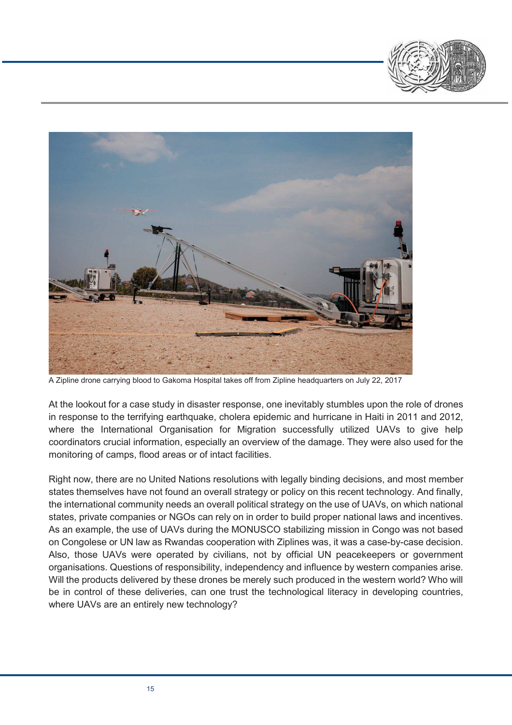



A Zipline drone carrying blood to Gakoma Hospital takes off from Zipline headquarters on July 22, 2017

At the lookout for a case study in disaster response, one inevitably stumbles upon the role of drones in response to the terrifying earthquake, cholera epidemic and hurricane in Haiti in 2011 and 2012, where the International Organisation for Migration successfully utilized UAVs to give help coordinators crucial information, especially an overview of the damage. They were also used for the monitoring of camps, flood areas or of intact facilities.

Right now, there are no United Nations resolutions with legally binding decisions, and most member states themselves have not found an overall strategy or policy on this recent technology. And finally, the international community needs an overall political strategy on the use of UAVs, on which national states, private companies or NGOs can rely on in order to build proper national laws and incentives. As an example, the use of UAVs during the MONUSCO stabilizing mission in Congo was not based on Congolese or UN law as Rwandas cooperation with Ziplines was, it was a case-by-case decision. Also, those UAVs were operated by civilians, not by official UN peacekeepers or government organisations. Questions of responsibility, independency and influence by western companies arise. Will the products delivered by these drones be merely such produced in the western world? Who will be in control of these deliveries, can one trust the technological literacy in developing countries, where UAVs are an entirely new technology?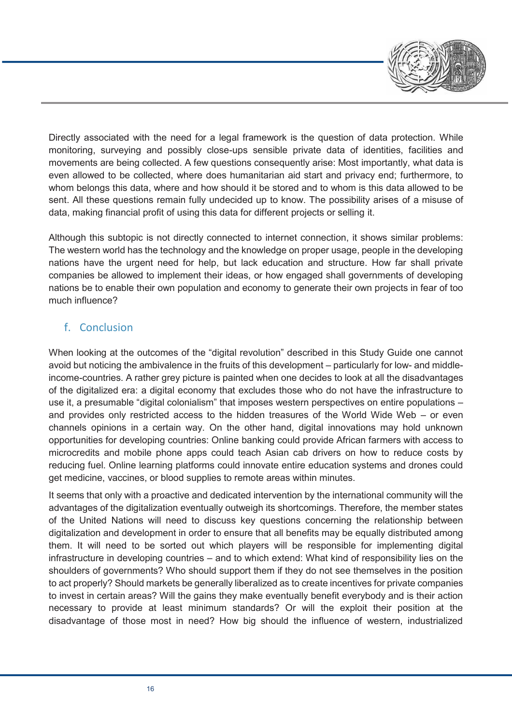

Directly associated with the need for a legal framework is the question of data protection. While monitoring, surveying and possibly close-ups sensible private data of identities, facilities and movements are being collected. A few questions consequently arise: Most importantly, what data is even allowed to be collected, where does humanitarian aid start and privacy end; furthermore, to whom belongs this data, where and how should it be stored and to whom is this data allowed to be sent. All these questions remain fully undecided up to know. The possibility arises of a misuse of data, making financial profit of using this data for different projects or selling it.

Although this subtopic is not directly connected to internet connection, it shows similar problems: The western world has the technology and the knowledge on proper usage, people in the developing nations have the urgent need for help, but lack education and structure. How far shall private companies be allowed to implement their ideas, or how engaged shall governments of developing nations be to enable their own population and economy to generate their own projects in fear of too much influence?

## f. Conclusion

When looking at the outcomes of the "digital revolution" described in this Study Guide one cannot avoid but noticing the ambivalence in the fruits of this development – particularly for low- and middleincome-countries. A rather grey picture is painted when one decides to look at all the disadvantages of the digitalized era: a digital economy that excludes those who do not have the infrastructure to use it, a presumable "digital colonialism" that imposes western perspectives on entire populations – and provides only restricted access to the hidden treasures of the World Wide Web – or even channels opinions in a certain way. On the other hand, digital innovations may hold unknown opportunities for developing countries: Online banking could provide African farmers with access to microcredits and mobile phone apps could teach Asian cab drivers on how to reduce costs by reducing fuel. Online learning platforms could innovate entire education systems and drones could get medicine, vaccines, or blood supplies to remote areas within minutes.

It seems that only with a proactive and dedicated intervention by the international community will the advantages of the digitalization eventually outweigh its shortcomings. Therefore, the member states of the United Nations will need to discuss key questions concerning the relationship between digitalization and development in order to ensure that all benefits may be equally distributed among them. It will need to be sorted out which players will be responsible for implementing digital infrastructure in developing countries – and to which extend: What kind of responsibility lies on the shoulders of governments? Who should support them if they do not see themselves in the position to act properly? Should markets be generally liberalized as to create incentives for private companies to invest in certain areas? Will the gains they make eventually benefit everybody and is their action necessary to provide at least minimum standards? Or will the exploit their position at the disadvantage of those most in need? How big should the influence of western, industrialized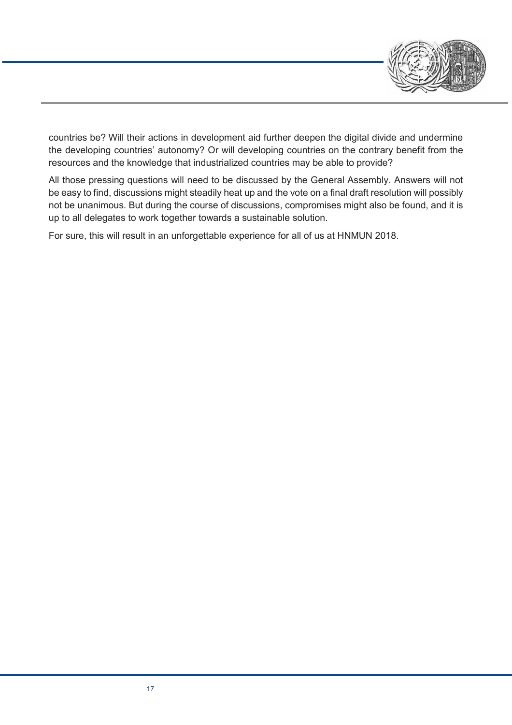

countries be? Will their actions in development aid further deepen the digital divide and undermine the developing countries' autonomy? Or will developing countries on the contrary benefit from the resources and the knowledge that industrialized countries may be able to provide?

All those pressing questions will need to be discussed by the General Assembly. Answers will not be easy to find, discussions might steadily heat up and the vote on a final draft resolution will possibly not be unanimous. But during the course of discussions, compromises might also be found, and it is up to all delegates to work together towards a sustainable solution.

For sure, this will result in an unforgettable experience for all of us at HNMUN 2018.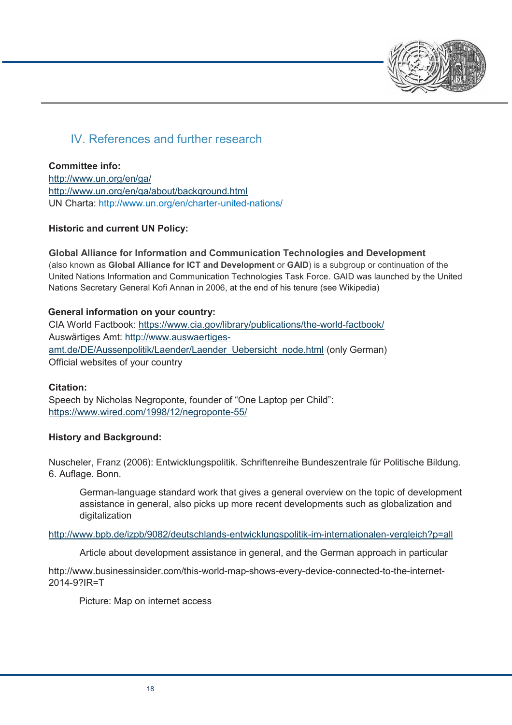

# IV. References and further research

### **Committee info:**

http://www.un.org/en/ga/ http://www.un.org/en/ga/about/background.html UN Charta: http://www.un.org/en/charter-united-nations/

## **Historic and current UN Policy:**

## **Global Alliance for Information and Communication Technologies and Development**

(also known as **Global Alliance for ICT and Development** or **GAID**) is a subgroup or continuation of the United Nations Information and Communication Technologies Task Force. GAID was launched by the United Nations Secretary General Kofi Annan in 2006, at the end of his tenure (see Wikipedia)

### **General information on your country:**

CIA World Factbook: https://www.cia.gov/library/publications/the-world-factbook/ Auswärtiges Amt: http://www.auswaertigesamt.de/DE/Aussenpolitik/Laender/Laender\_Uebersicht\_node.html (only German) Official websites of your country

#### **Citation:**

Speech by Nicholas Negroponte, founder of "One Laptop per Child": https://www.wired.com/1998/12/negroponte-55/

## **History and Background:**

Nuscheler, Franz (2006): Entwicklungspolitik. Schriftenreihe Bundeszentrale für Politische Bildung. 6. Auflage. Bonn.

German-language standard work that gives a general overview on the topic of development assistance in general, also picks up more recent developments such as globalization and digitalization

#### http://www.bpb.de/izpb/9082/deutschlands-entwicklungspolitik-im-internationalen-vergleich?p=all

Article about development assistance in general, and the German approach in particular

http://www.businessinsider.com/this-world-map-shows-every-device-connected-to-the-internet-2014-9?IR=T

Picture: Map on internet access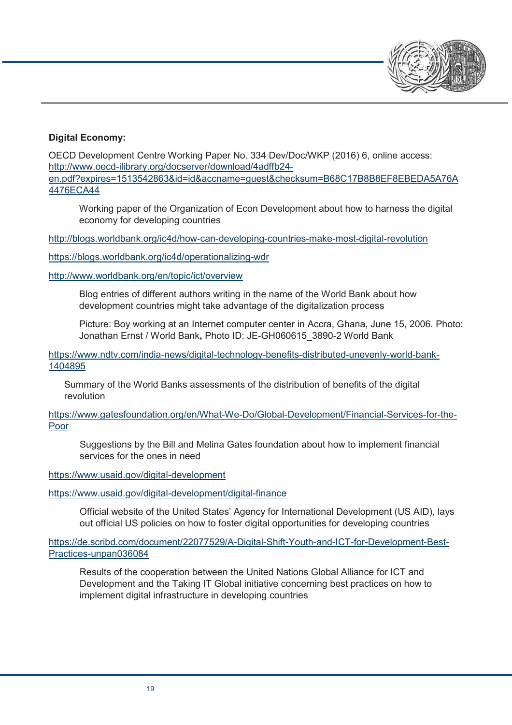

### **Digital Economy:**

OECD Development Centre Working Paper No. 334 Dev/Doc/WKP (2016) 6, online access: http://www.oecd-ilibrary.org/docserver/download/4adffb24 en.pdf?expires=1513542863&id=id&accname=guest&checksum=B68C17B8B8EF8EBEDA5A76A 4476ECA44

Working paper of the Organization of Econ Development about how to harness the digital economy for developing countries

http://blogs.worldbank.org/ic4d/how-can-developing-countries-make-most-digital-revolution

https://blogs.worldbank.org/ic4d/operationalizing-wdr

http://www.worldbank.org/en/topic/ict/overview

Blog entries of different authors writing in the name of the World Bank about how development countries might take advantage of the digitalization process

Picture: Boy working at an Internet computer center in Accra, Ghana, June 15, 2006. Photo: Jonathan Ernst / World Bank**,** Photo ID: JE-GH060615\_3890-2 World Bank

https://www.ndtv.com/india-news/digital-technology-benefits-distributed-unevenly-world-bank-1404895

Summary of the World Banks assessments of the distribution of benefits of the digital revolution

https://www.gatesfoundation.org/en/What-We-Do/Global-Development/Financial-Services-for-the-Poor

Suggestions by the Bill and Melina Gates foundation about how to implement financial services for the ones in need

https://www.usaid.gov/digital-development

https://www.usaid.gov/digital-development/digital-finance

Official website of the United States' Agency for International Development (US AID), lays out official US policies on how to foster digital opportunities for developing countries

https://de.scribd.com/document/22077529/A-Digital-Shift-Youth-and-ICT-for-Development-Best-Practices-unpan036084

Results of the cooperation between the United Nations Global Alliance for ICT and Development and the Taking IT Global initiative concerning best practices on how to implement digital infrastructure in developing countries